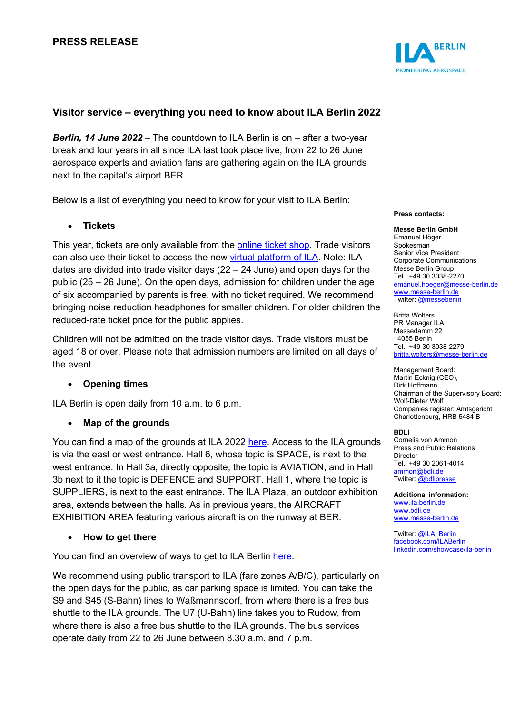## **Visitor service – everything you need to know about ILA Berlin 2022**

*Berlin, 14 June 2022* – The countdown to ILA Berlin is on – after a two-year break and four years in all since ILA last took place live, from 22 to 26 June aerospace experts and aviation fans are gathering again on the ILA grounds next to the capital's airport BER.

Below is a list of everything you need to know for your visit to ILA Berlin:

## • **Tickets**

This year, tickets are only available from the **online ticket shop**. Trade visitors can also use their ticket to access the new [virtual platform of ILA.](https://digital.ila-berlin.de/) Note: ILA dates are divided into trade visitor days  $(22 – 24$  June) and open days for the public (25 – 26 June). On the open days, admission for children under the age of six accompanied by parents is free, with no ticket required. We recommend bringing noise reduction headphones for smaller children. For older children the reduced-rate ticket price for the public applies.

Children will not be admitted on the trade visitor days. Trade visitors must be aged 18 or over. Please note that admission numbers are limited on all days of the event.

## • **Opening times**

ILA Berlin is open daily from 10 a.m. to 6 p.m.

## • **Map of the grounds**

You can find a map of the grounds at ILA 2022 [here.](https://www.ila-berlin.de/de/media/1613) Access to the ILA grounds is via the east or west entrance. Hall 6, whose topic is SPACE, is next to the west entrance. In Hall 3a, directly opposite, the topic is AVIATION, and in Hall 3b next to it the topic is DEFENCE and SUPPORT. Hall 1, where the topic is SUPPLIERS, is next to the east entrance. The ILA Plaza, an outdoor exhibition area, extends between the halls. As in previous years, the AIRCRAFT EXHIBITION AREA featuring various aircraft is on the runway at BER.

## • **How to get there**

You can find an overview of ways to get to ILA Berlin [here.](https://www.ila-berlin.de/sites/default/files/2022-06/ILA22_IhrWegzurILA_0.pdf)

We recommend using public transport to ILA (fare zones A/B/C), particularly on the open days for the public, as car parking space is limited. You can take the S9 and S45 (S-Bahn) lines to Waßmannsdorf, from where there is a free bus shuttle to the ILA grounds. The U7 (U-Bahn) line takes you to Rudow, from where there is also a free bus shuttle to the ILA grounds. The bus services operate daily from 22 to 26 June between 8.30 a.m. and 7 p.m.



#### **Press contacts:**

**Messe Berlin GmbH** Emanuel Höger Spokesman Senior Vice President Corporate Communications Messe Berlin Group Tel.: +49 30 3038-2270 [emanuel.hoeger@messe-berlin.de](mailto:emanuel.hoeger@messe-berlin.de) [www.messe-berlin.de](http://www.messe-berlin.de/) Twitter: [@messeberlin](https://twitter.com/messeberlin)

Britta Wolters PR Manager ILA Messedamm 22 14055 Berlin Tel.: +49 30 3038-2279 [britta.wolters@messe-berlin.de](mailto:britta.wolters@messe-berlin.de)

Management Board: Martin Ecknig (CEO), Dirk Hoffmann Chairman of the Supervisory Board: Wolf-Dieter Wolf Companies register: Amtsgericht Charlottenburg, HRB 5484 B

#### **BDLI**

Cornelia von Ammon Press and Public Relations **Director** Tel.: +49 30 2061-4014 [ammon@bdli.de](mailto:ammon@bdli.de) Twitter: [@bdlipresse](https://twitter.com/bdlipresse?lang=de)

**Additional information:** [www.ila.berlin.de](http://www.ila.berlin.de/) [www.bdli.de](http://www.bdli.de/) [www.messe-berlin.de](http://www.messe-berlin.de/)

Twitter: [@ILA\\_Berlin](https://twitter.com/ila_berlin?lang=de) [facebook.com/ILABerlin](file:///C:%5CUsers%5CWoiton.Sandra%5CAppData%5CLocal%5CMicrosoft%5CWindows%5Cammon%5CAppData%5CLocal%5CUsers%5CFrankeC%5CAppData%5CLocal%5CMicrosoft%5CWindows%5CINetCache%5CContent.Outlook%5CAppData%5CLocal%5CMicrosoft%5CWindows%5CINetCache%5CContent.Outlook%5CAppData%5CLocal%5CMicrosoft%5CWindows%5CINetCache%5CContent.Outlook%5CNIXZO984%5Cfacebook.com%5CILABerlin%0bhttps:%5Cwww.linkedin.com%5Cshowcase%5Cila-berlin) [linkedin.com/showcase/ila-berlin](https://www.linkedin.com/showcase/ila-berlin)